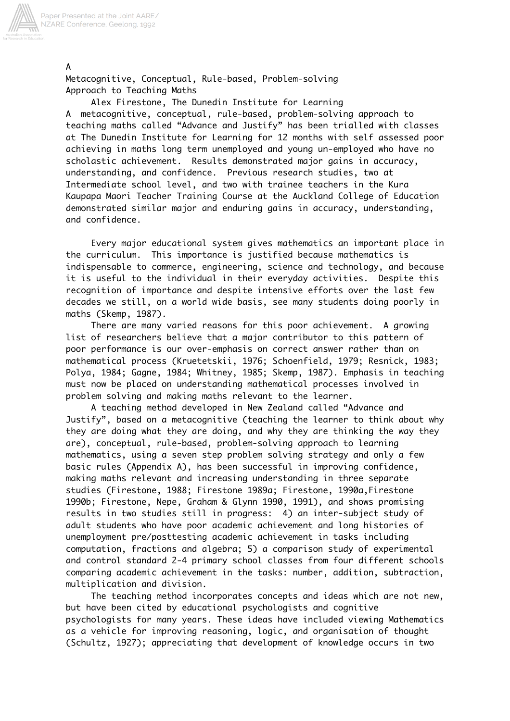

Metacognitive, Conceptual, Rule-based, Problem-solving Approach to Teaching Maths

 Alex Firestone, The Dunedin Institute for Learning A metacognitive, conceptual, rule-based, problem-solving approach to teaching maths called "Advance and Justify" has been trialled with classes at The Dunedin Institute for Learning for 12 months with self assessed poor achieving in maths long term unemployed and young un-employed who have no scholastic achievement. Results demonstrated major gains in accuracy, understanding, and confidence. Previous research studies, two at Intermediate school level, and two with trainee teachers in the Kura Kaupapa Maori Teacher Training Course at the Auckland College of Education demonstrated similar major and enduring gains in accuracy, understanding, and confidence.

 Every major educational system gives mathematics an important place in the curriculum. This importance is justified because mathematics is indispensable to commerce, engineering, science and technology, and because it is useful to the individual in their everyday activities. Despite this recognition of importance and despite intensive efforts over the last few decades we still, on a world wide basis, see many students doing poorly in maths (Skemp, 1987).

 There are many varied reasons for this poor achievement. A growing list of researchers believe that a major contributor to this pattern of poor performance is our over-emphasis on correct answer rather than on mathematical process (Kruetetskii, 1976; Schoenfield, 1979; Resnick, 1983; Polya, 1984; Gagne, 1984; Whitney, 1985; Skemp, 1987). Emphasis in teaching must now be placed on understanding mathematical processes involved in problem solving and making maths relevant to the learner.

 A teaching method developed in New Zealand called "Advance and Justify", based on a metacognitive (teaching the learner to think about why they are doing what they are doing, and why they are thinking the way they are), conceptual, rule-based, problem-solving approach to learning mathematics, using a seven step problem solving strategy and only a few basic rules (Appendix A), has been successful in improving confidence, making maths relevant and increasing understanding in three separate studies (Firestone, 1988; Firestone 1989a; Firestone, 1990a,Firestone 1990b; Firestone, Nepe, Graham & Glynn 1990, 1991), and shows promising results in two studies still in progress: 4) an inter-subject study of adult students who have poor academic achievement and long histories of unemployment pre/posttesting academic achievement in tasks including computation, fractions and algebra; 5) a comparison study of experimental and control standard 2-4 primary school classes from four different schools comparing academic achievement in the tasks: number, addition, subtraction, multiplication and division.

 The teaching method incorporates concepts and ideas which are not new, but have been cited by educational psychologists and cognitive psychologists for many years. These ideas have included viewing Mathematics as a vehicle for improving reasoning, logic, and organisation of thought (Schultz, 1927); appreciating that development of knowledge occurs in two

A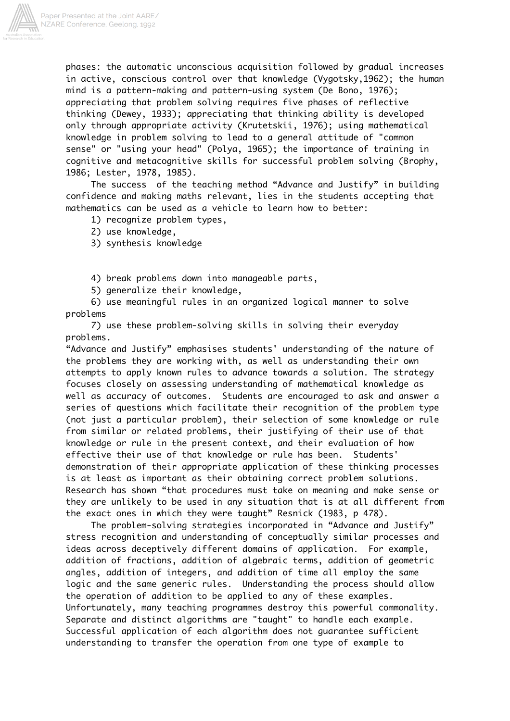

phases: the automatic unconscious acquisition followed by gradual increases in active, conscious control over that knowledge (Vygotsky,1962); the human mind is a pattern-making and pattern-using system (De Bono, 1976); appreciating that problem solving requires five phases of reflective thinking (Dewey, 1933); appreciating that thinking ability is developed only through appropriate activity (Krutetskii, 1976); using mathematical knowledge in problem solving to lead to a general attitude of "common sense" or "using your head" (Polya, 1965); the importance of training in cognitive and metacognitive skills for successful problem solving (Brophy, 1986; Lester, 1978, 1985).

 The success of the teaching method "Advance and Justify" in building confidence and making maths relevant, lies in the students accepting that mathematics can be used as a vehicle to learn how to better:

- 1) recognize problem types,
- 2) use knowledge,
- 3) synthesis knowledge

4) break problems down into manageable parts,

5) generalize their knowledge,

 6) use meaningful rules in an organized logical manner to solve problems

 7) use these problem-solving skills in solving their everyday problems.

"Advance and Justify" emphasises students' understanding of the nature of the problems they are working with, as well as understanding their own attempts to apply known rules to advance towards a solution. The strategy focuses closely on assessing understanding of mathematical knowledge as well as accuracy of outcomes. Students are encouraged to ask and answer a series of questions which facilitate their recognition of the problem type (not just a particular problem), their selection of some knowledge or rule from similar or related problems, their justifying of their use of that knowledge or rule in the present context, and their evaluation of how effective their use of that knowledge or rule has been. Students' demonstration of their appropriate application of these thinking processes is at least as important as their obtaining correct problem solutions. Research has shown "that procedures must take on meaning and make sense or they are unlikely to be used in any situation that is at all different from the exact ones in which they were taught" Resnick (1983, p 478).

 The problem-solving strategies incorporated in "Advance and Justify" stress recognition and understanding of conceptually similar processes and ideas across deceptively different domains of application. For example, addition of fractions, addition of algebraic terms, addition of geometric angles, addition of integers, and addition of time all employ the same logic and the same generic rules. Understanding the process should allow the operation of addition to be applied to any of these examples. Unfortunately, many teaching programmes destroy this powerful commonality. Separate and distinct algorithms are "taught" to handle each example. Successful application of each algorithm does not guarantee sufficient understanding to transfer the operation from one type of example to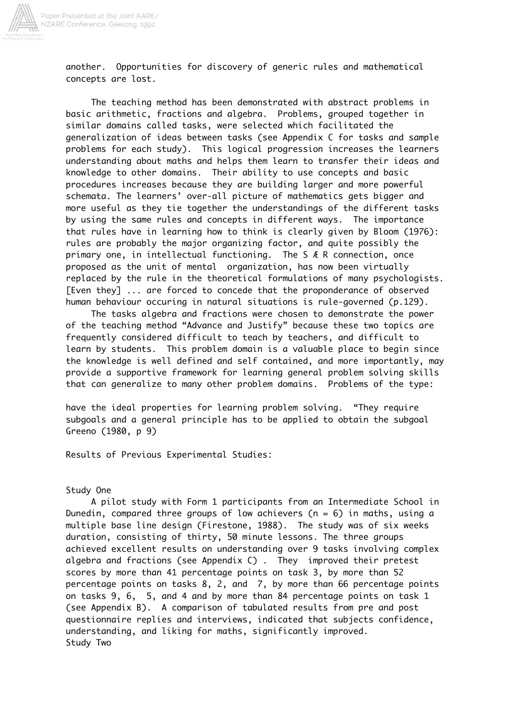

another. Opportunities for discovery of generic rules and mathematical concepts are lost.

 The teaching method has been demonstrated with abstract problems in basic arithmetic, fractions and algebra. Problems, grouped together in similar domains called tasks, were selected which facilitated the generalization of ideas between tasks (see Appendix C for tasks and sample problems for each study). This logical progression increases the learners understanding about maths and helps them learn to transfer their ideas and knowledge to other domains. Their ability to use concepts and basic procedures increases because they are building larger and more powerful schemata. The learners' over-all picture of mathematics gets bigger and more useful as they tie together the understandings of the different tasks by using the same rules and concepts in different ways. The importance that rules have in learning how to think is clearly given by Bloom (1976): rules are probably the major organizing factor, and quite possibly the primary one, in intellectual functioning. The S Æ R connection, once proposed as the unit of mental organization, has now been virtually replaced by the rule in the theoretical formulations of many psychologists. [Even they] ... are forced to concede that the proponderance of observed human behaviour occuring in natural situations is rule-governed (p.129).

 The tasks algebra and fractions were chosen to demonstrate the power of the teaching method "Advance and Justify" because these two topics are frequently considered difficult to teach by teachers, and difficult to learn by students. This problem domain is a valuable place to begin since the knowledge is well defined and self contained, and more importantly, may provide a supportive framework for learning general problem solving skills that can generalize to many other problem domains. Problems of the type:

have the ideal properties for learning problem solving. "They require subgoals and a general principle has to be applied to obtain the subgoal Greeno (1980, p 9)

Results of Previous Experimental Studies:

## Study One

 A pilot study with Form 1 participants from an Intermediate School in Dunedin, compared three groups of low achievers ( $n = 6$ ) in maths, using a multiple base line design (Firestone, 1988). The study was of six weeks duration, consisting of thirty, 50 minute lessons. The three groups achieved excellent results on understanding over 9 tasks involving complex algebra and fractions (see Appendix C) . They improved their pretest scores by more than 41 percentage points on task 3, by more than 52 percentage points on tasks 8, 2, and 7, by more than 66 percentage points on tasks 9, 6, 5, and 4 and by more than 84 percentage points on task 1 (see Appendix B). A comparison of tabulated results from pre and post questionnaire replies and interviews, indicated that subjects confidence, understanding, and liking for maths, significantly improved. Study Two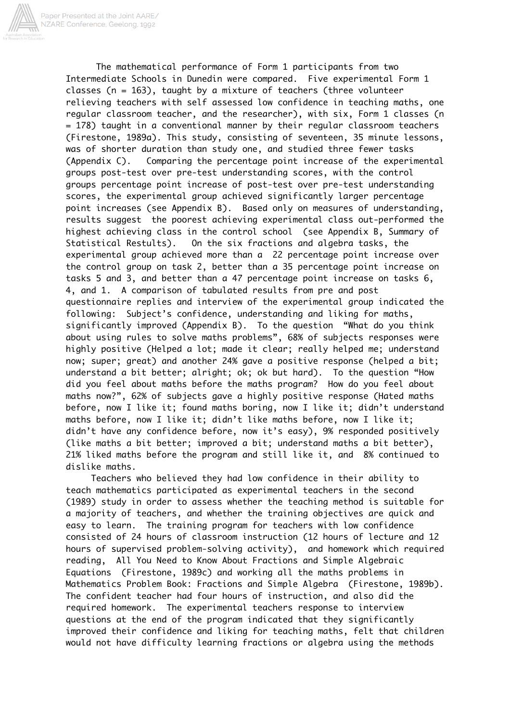The mathematical performance of Form 1 participants from two Intermediate Schools in Dunedin were compared. Five experimental Form 1 classes (n = 163), taught by a mixture of teachers (three volunteer relieving teachers with self assessed low confidence in teaching maths, one regular classroom teacher, and the researcher), with six, Form 1 classes (n = 178) taught in a conventional manner by their regular classroom teachers (Firestone, 1989a). This study, consisting of seventeen, 35 minute lessons, was of shorter duration than study one, and studied three fewer tasks (Appendix C). Comparing the percentage point increase of the experimental groups post-test over pre-test understanding scores, with the control groups percentage point increase of post-test over pre-test understanding scores, the experimental group achieved significantly larger percentage point increases (see Appendix B). Based only on measures of understanding, results suggest the poorest achieving experimental class out-performed the highest achieving class in the control school (see Appendix B, Summary of Statistical Restults). On the six fractions and algebra tasks, the experimental group achieved more than a 22 percentage point increase over the control group on task 2, better than a 35 percentage point increase on tasks 5 and 3, and better than a 47 percentage point increase on tasks 6, 4, and 1. A comparison of tabulated results from pre and post questionnaire replies and interview of the experimental group indicated the following: Subject's confidence, understanding and liking for maths, significantly improved (Appendix B). To the question "What do you think about using rules to solve maths problems", 68% of subjects responses were highly positive (Helped a lot; made it clear; really helped me; understand now; super; great) and another 24% gave a positive response (helped a bit; understand a bit better; alright; ok; ok but hard). To the question "How did you feel about maths before the maths program? How do you feel about maths now?", 62% of subjects gave a highly positive response (Hated maths before, now I like it; found maths boring, now I like it; didn't understand maths before, now I like it; didn't like maths before, now I like it; didn't have any confidence before, now it's easy), 9% responded positively (like maths a bit better; improved a bit; understand maths a bit better), 21% liked maths before the program and still like it, and 8% continued to dislike maths.

 Teachers who believed they had low confidence in their ability to teach mathematics participated as experimental teachers in the second (1989) study in order to assess whether the teaching method is suitable for a majority of teachers, and whether the training objectives are quick and easy to learn. The training program for teachers with low confidence consisted of 24 hours of classroom instruction (12 hours of lecture and 12 hours of supervised problem-solving activity), and homework which required reading, All You Need to Know About Fractions and Simple Algebraic Equations (Firestone, 1989c) and working all the maths problems in Mathematics Problem Book: Fractions and Simple Algebra (Firestone, 1989b). The confident teacher had four hours of instruction, and also did the required homework. The experimental teachers response to interview questions at the end of the program indicated that they significantly improved their confidence and liking for teaching maths, felt that children would not have difficulty learning fractions or algebra using the methods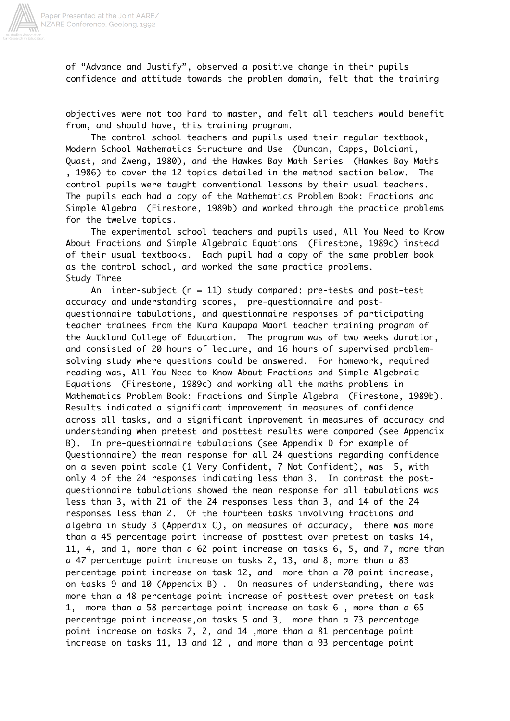

of "Advance and Justify", observed a positive change in their pupils confidence and attitude towards the problem domain, felt that the training

objectives were not too hard to master, and felt all teachers would benefit from, and should have, this training program.

 The control school teachers and pupils used their regular textbook, Modern School Mathematics Structure and Use (Duncan, Capps, Dolciani, Quast, and Zweng, 1980), and the Hawkes Bay Math Series (Hawkes Bay Maths , 1986) to cover the 12 topics detailed in the method section below. The control pupils were taught conventional lessons by their usual teachers. The pupils each had a copy of the Mathematics Problem Book: Fractions and Simple Algebra (Firestone, 1989b) and worked through the practice problems for the twelve topics.

 The experimental school teachers and pupils used, All You Need to Know About Fractions and Simple Algebraic Equations (Firestone, 1989c) instead of their usual textbooks. Each pupil had a copy of the same problem book as the control school, and worked the same practice problems. Study Three

An inter-subject  $(n = 11)$  study compared: pre-tests and post-test accuracy and understanding scores, pre-questionnaire and postquestionnaire tabulations, and questionnaire responses of participating teacher trainees from the Kura Kaupapa Maori teacher training program of the Auckland College of Education. The program was of two weeks duration, and consisted of 20 hours of lecture, and 16 hours of supervised problemsolving study where questions could be answered. For homework, required reading was, All You Need to Know About Fractions and Simple Algebraic Equations (Firestone, 1989c) and working all the maths problems in Mathematics Problem Book: Fractions and Simple Algebra (Firestone, 1989b). Results indicated a significant improvement in measures of confidence across all tasks, and a significant improvement in measures of accuracy and understanding when pretest and posttest results were compared (see Appendix B). In pre-questionnaire tabulations (see Appendix D for example of Questionnaire) the mean response for all 24 questions regarding confidence on a seven point scale (1 Very Confident, 7 Not Confident), was 5, with only 4 of the 24 responses indicating less than 3. In contrast the postquestionnaire tabulations showed the mean response for all tabulations was less than 3, with 21 of the 24 responses less than 3, and 14 of the 24 responses less than 2. Of the fourteen tasks involving fractions and algebra in study 3 (Appendix C), on measures of accuracy, there was more than a 45 percentage point increase of posttest over pretest on tasks 14, 11, 4, and 1, more than a 62 point increase on tasks 6, 5, and 7, more than a 47 percentage point increase on tasks 2, 13, and 8, more than a 83 percentage point increase on task 12, and more than a 70 point increase, on tasks 9 and 10 (Appendix B) . On measures of understanding, there was more than a 48 percentage point increase of posttest over pretest on task 1, more than a 58 percentage point increase on task 6 , more than a 65 percentage point increase,on tasks 5 and 3, more than a 73 percentage point increase on tasks 7, 2, and 14 ,more than a 81 percentage point increase on tasks 11, 13 and 12 , and more than a 93 percentage point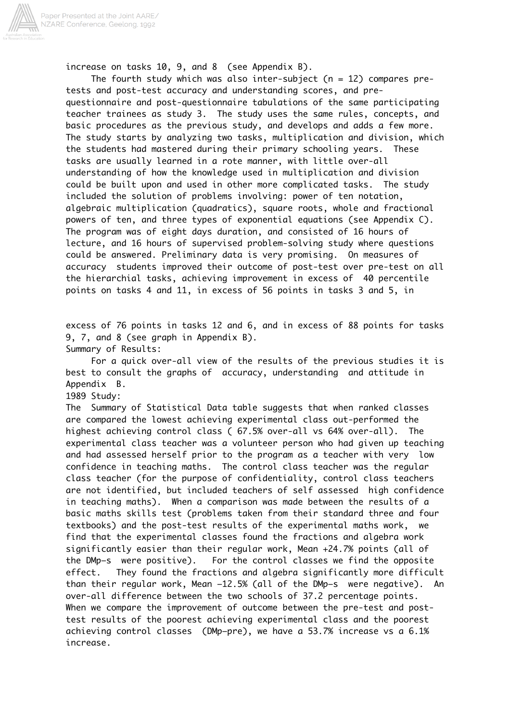

increase on tasks 10, 9, and 8 (see Appendix B).

The fourth study which was also inter-subject ( $n = 12$ ) compares pretests and post-test accuracy and understanding scores, and prequestionnaire and post-questionnaire tabulations of the same participating teacher trainees as study 3. The study uses the same rules, concepts, and basic procedures as the previous study, and develops and adds a few more. The study starts by analyzing two tasks, multiplication and division, which the students had mastered during their primary schooling years. These tasks are usually learned in a rote manner, with little over-all understanding of how the knowledge used in multiplication and division could be built upon and used in other more complicated tasks. The study included the solution of problems involving: power of ten notation, algebraic multiplication (quadratics), square roots, whole and fractional powers of ten, and three types of exponential equations (see Appendix C). The program was of eight days duration, and consisted of 16 hours of lecture, and 16 hours of supervised problem-solving study where questions could be answered. Preliminary data is very promising. On measures of accuracy students improved their outcome of post-test over pre-test on all the hierarchial tasks, achieving improvement in excess of 40 percentile points on tasks 4 and 11, in excess of 56 points in tasks 3 and 5, in

excess of 76 points in tasks 12 and 6, and in excess of 88 points for tasks 9, 7, and 8 (see graph in Appendix B). Summary of Results:

 For a quick over-all view of the results of the previous studies it is best to consult the graphs of accuracy, understanding and attitude in Appendix B.

1989 Study:

The Summary of Statistical Data table suggests that when ranked classes are compared the lowest achieving experimental class out-performed the highest achieving control class ( 67.5% over-all vs 64% over-all). The experimental class teacher was a volunteer person who had given up teaching and had assessed herself prior to the program as a teacher with very low confidence in teaching maths. The control class teacher was the regular class teacher (for the purpose of confidentiality, control class teachers are not identified, but included teachers of self assessed high confidence in teaching maths). When a comparison was made between the results of a basic maths skills test (problems taken from their standard three and four textbooks) and the post-test results of the experimental maths work, we find that the experimental classes found the fractions and algebra work significantly easier than their regular work, Mean +24.7% points (all of the DMp–s were positive). For the control classes we find the opposite effect. They found the fractions and algebra significantly more difficult than their regular work, Mean –12.5% (all of the DMp–s were negative). An over-all difference between the two schools of 37.2 percentage points. When we compare the improvement of outcome between the pre-test and posttest results of the poorest achieving experimental class and the poorest achieving control classes (DMp–pre), we have a 53.7% increase vs a 6.1% increase.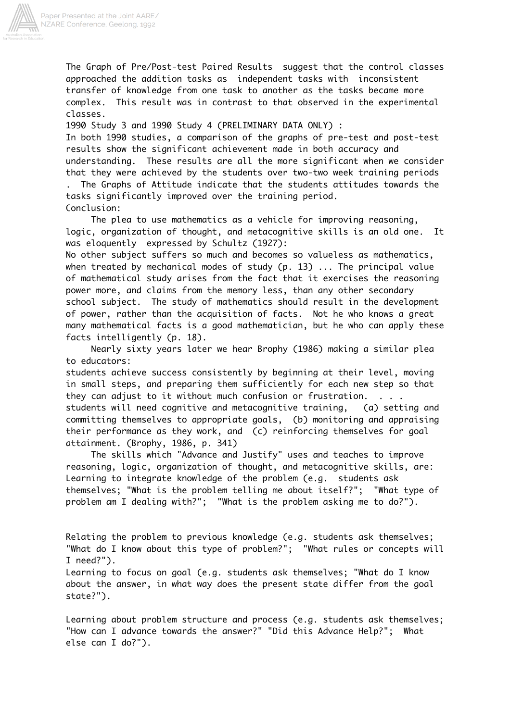

The Graph of Pre/Post-test Paired Results suggest that the control classes approached the addition tasks as independent tasks with inconsistent transfer of knowledge from one task to another as the tasks became more complex. This result was in contrast to that observed in the experimental classes.

1990 Study 3 and 1990 Study 4 (PRELIMINARY DATA ONLY) :

In both 1990 studies, a comparison of the graphs of pre-test and post-test results show the significant achievement made in both accuracy and understanding. These results are all the more significant when we consider that they were achieved by the students over two-two week training periods . The Graphs of Attitude indicate that the students attitudes towards the

tasks significantly improved over the training period. Conclusion:

 The plea to use mathematics as a vehicle for improving reasoning, logic, organization of thought, and metacognitive skills is an old one. It was eloquently expressed by Schultz (1927):

No other subject suffers so much and becomes so valueless as mathematics, when treated by mechanical modes of study (p. 13) ... The principal value of mathematical study arises from the fact that it exercises the reasoning power more, and claims from the memory less, than any other secondary school subject. The study of mathematics should result in the development of power, rather than the acquisition of facts. Not he who knows a great many mathematical facts is a good mathematician, but he who can apply these facts intelligently (p. 18).

 Nearly sixty years later we hear Brophy (1986) making a similar plea to educators:

students achieve success consistently by beginning at their level, moving in small steps, and preparing them sufficiently for each new step so that they can adjust to it without much confusion or frustration. . . . students will need cognitive and metacognitive training, (a) setting and committing themselves to appropriate goals, (b) monitoring and appraising their performance as they work, and (c) reinforcing themselves for goal attainment. (Brophy, 1986, p. 341)

 The skills which "Advance and Justify" uses and teaches to improve reasoning, logic, organization of thought, and metacognitive skills, are: Learning to integrate knowledge of the problem (e.g. students ask themselves; "What is the problem telling me about itself?"; "What type of problem am I dealing with?"; "What is the problem asking me to do?").

Relating the problem to previous knowledge (e.g. students ask themselves; "What do I know about this type of problem?"; "What rules or concepts will I need?").

Learning to focus on goal (e.g. students ask themselves; "What do I know about the answer, in what way does the present state differ from the goal state?").

Learning about problem structure and process (e.g. students ask themselves; "How can I advance towards the answer?" "Did this Advance Help?"; What else can I do?").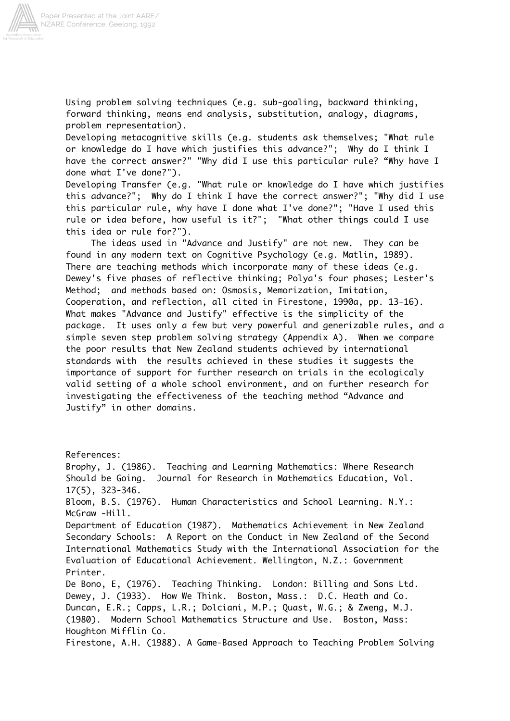

Using problem solving techniques (e.g. sub-goaling, backward thinking, forward thinking, means end analysis, substitution, analogy, diagrams, problem representation).

Developing metacognitive skills (e.g. students ask themselves; "What rule or knowledge do I have which justifies this advance?"; Why do I think I have the correct answer?" "Why did I use this particular rule? "Why have I done what I've done?").

Developing Transfer (e.g. "What rule or knowledge do I have which justifies this advance?"; Why do I think I have the correct answer?"; "Why did I use this particular rule, why have I done what I've done?"; "Have I used this rule or idea before, how useful is it?"; "What other things could I use this idea or rule for?").

 The ideas used in "Advance and Justify" are not new. They can be found in any modern text on Cognitive Psychology (e.g. Matlin, 1989). There are teaching methods which incorporate many of these ideas (e.g. Dewey's five phases of reflective thinking; Polya's four phases; Lester's Method; and methods based on: Osmosis, Memorization, Imitation, Cooperation, and reflection, all cited in Firestone, 1990a, pp. 13-16). What makes "Advance and Justify" effective is the simplicity of the package. It uses only a few but very powerful and generizable rules, and a simple seven step problem solving strategy (Appendix A). When we compare the poor results that New Zealand students achieved by international standards with the results achieved in these studies it suggests the importance of support for further research on trials in the ecologicaly valid setting of a whole school environment, and on further research for investigating the effectiveness of the teaching method "Advance and Justify" in other domains.

References: Brophy, J. (1986). Teaching and Learning Mathematics: Where Research Should be Going. Journal for Research in Mathematics Education, Vol. 17(5), 323-346. Bloom, B.S. (1976). Human Characteristics and School Learning. N.Y.: McGraw -Hill. Department of Education (1987). Mathematics Achievement in New Zealand Secondary Schools: A Report on the Conduct in New Zealand of the Second International Mathematics Study with the International Association for the Evaluation of Educational Achievement. Wellington, N.Z.: Government Printer. De Bono, E, (1976). Teaching Thinking. London: Billing and Sons Ltd. Dewey, J. (1933). How We Think. Boston, Mass.: D.C. Heath and Co. Duncan, E.R.; Capps, L.R.; Dolciani, M.P.; Quast, W.G.; & Zweng, M.J. (1980). Modern School Mathematics Structure and Use. Boston, Mass: Houghton Mifflin Co. Firestone, A.H. (1988). A Game-Based Approach to Teaching Problem Solving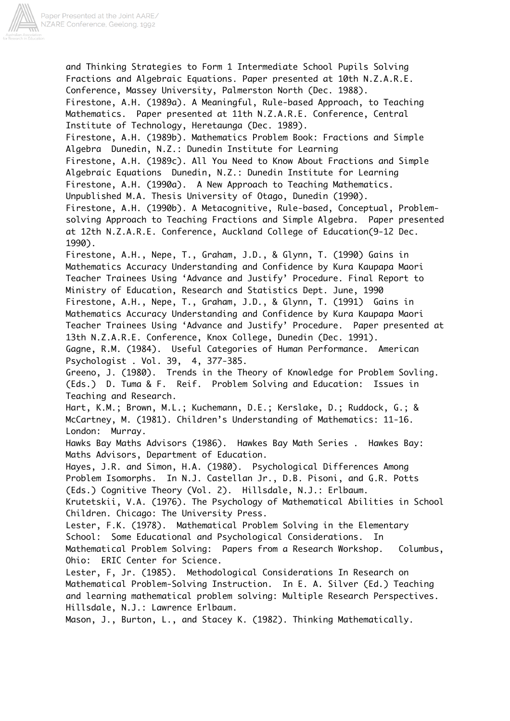

and Thinking Strategies to Form 1 Intermediate School Pupils Solving Fractions and Algebraic Equations. Paper presented at 10th N.Z.A.R.E. Conference, Massey University, Palmerston North (Dec. 1988). Firestone, A.H. (1989a). A Meaningful, Rule-based Approach, to Teaching Mathematics. Paper presented at 11th N.Z.A.R.E. Conference, Central Institute of Technology, Heretaunga (Dec. 1989). Firestone, A.H. (1989b). Mathematics Problem Book: Fractions and Simple Algebra Dunedin, N.Z.: Dunedin Institute for Learning Firestone, A.H. (1989c). All You Need to Know About Fractions and Simple Algebraic Equations Dunedin, N.Z.: Dunedin Institute for Learning Firestone, A.H. (1990a). A New Approach to Teaching Mathematics. Unpublished M.A. Thesis University of Otago, Dunedin (1990). Firestone, A.H. (1990b). A Metacognitive, Rule-based, Conceptual, Problemsolving Approach to Teaching Fractions and Simple Algebra. Paper presented at 12th N.Z.A.R.E. Conference, Auckland College of Education(9-12 Dec. 1990). Firestone, A.H., Nepe, T., Graham, J.D., & Glynn, T. (1990) Gains in Mathematics Accuracy Understanding and Confidence by Kura Kaupapa Maori Teacher Trainees Using 'Advance and Justify' Procedure. Final Report to Ministry of Education, Research and Statistics Dept. June, 1990 Firestone, A.H., Nepe, T., Graham, J.D., & Glynn, T. (1991) Gains in Mathematics Accuracy Understanding and Confidence by Kura Kaupapa Maori Teacher Trainees Using 'Advance and Justify' Procedure. Paper presented at 13th N.Z.A.R.E. Conference, Knox College, Dunedin (Dec. 1991). Gagne, R.M. (1984). Useful Categories of Human Performance. American Psychologist . Vol. 39, 4, 377-385. Greeno, J. (1980). Trends in the Theory of Knowledge for Problem Sovling. (Eds.) D. Tuma & F. Reif. Problem Solving and Education: Issues in Teaching and Research. Hart, K.M.; Brown, M.L.; Kuchemann, D.E.; Kerslake, D.; Ruddock, G.; & McCartney, M. (1981). Children's Understanding of Mathematics: 11-16. London: Murray. Hawks Bay Maths Advisors (1986). Hawkes Bay Math Series . Hawkes Bay: Maths Advisors, Department of Education. Hayes, J.R. and Simon, H.A. (1980). Psychological Differences Among Problem Isomorphs. In N.J. Castellan Jr., D.B. Pisoni, and G.R. Potts (Eds.) Cognitive Theory (Vol. 2). Hillsdale, N.J.: Erlbaum. Krutetskii, V.A. (1976). The Psychology of Mathematical Abilities in School Children. Chicago: The University Press. Lester, F.K. (1978). Mathematical Problem Solving in the Elementary School: Some Educational and Psychological Considerations. In Mathematical Problem Solving: Papers from a Research Workshop. Columbus, Ohio: ERIC Center for Science. Lester, F, Jr. (1985). Methodological Considerations In Research on Mathematical Problem-Solving Instruction. In E. A. Silver (Ed.) Teaching and learning mathematical problem solving: Multiple Research Perspectives. Hillsdale, N.J.: Lawrence Erlbaum. Mason, J., Burton, L., and Stacey K. (1982). Thinking Mathematically.